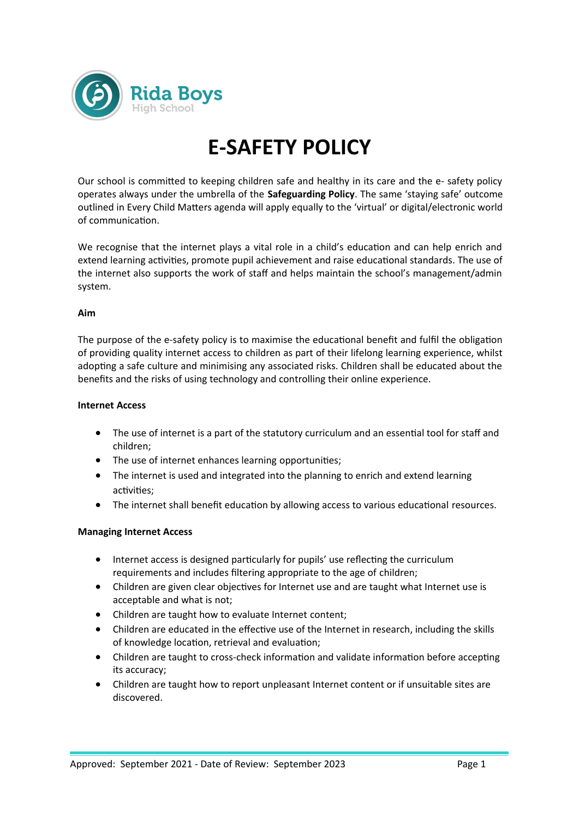

# **E-SAFETY POLICY**

Our school is committed to keeping children safe and healthy in its care and the e- safety policy operates always under the umbrella of the **Safeguarding Policy**. The same 'staying safe' outcome outlined in Every Child Matters agenda will apply equally to the 'virtual' or digital/electronic world of communication.

We recognise that the internet plays a vital role in a child's education and can help enrich and extend learning activities, promote pupil achievement and raise educational standards. The use of the internet also supports the work of staff and helps maintain the school's management/admin system.

## **Aim**

The purpose of the e-safety policy is to maximise the educational benefit and fulfil the obligation of providing quality internet access to children as part of their lifelong learning experience, whilst adopting a safe culture and minimising any associated risks. Children shall be educated about the benefits and the risks of using technology and controlling their online experience.

## **Internet Access**

- The use of internet is a part of the statutory curriculum and an essential tool for staff and children;
- The use of internet enhances learning opportunities;
- The internet is used and integrated into the planning to enrich and extend learning activities;
- The internet shall benefit education by allowing access to various educational resources.

# **Managing Internet Access**

- Internet access is designed particularly for pupils' use reflecting the curriculum requirements and includes filtering appropriate to the age of children;
- Children are given clear objectives for Internet use and are taught what Internet use is acceptable and what is not;
- Children are taught how to evaluate Internet content;
- Children are educated in the effective use of the Internet in research, including the skills of knowledge location, retrieval and evaluation;
- Children are taught to cross-check information and validate information before accepting its accuracy;
- Children are taught how to report unpleasant Internet content or if unsuitable sites are discovered.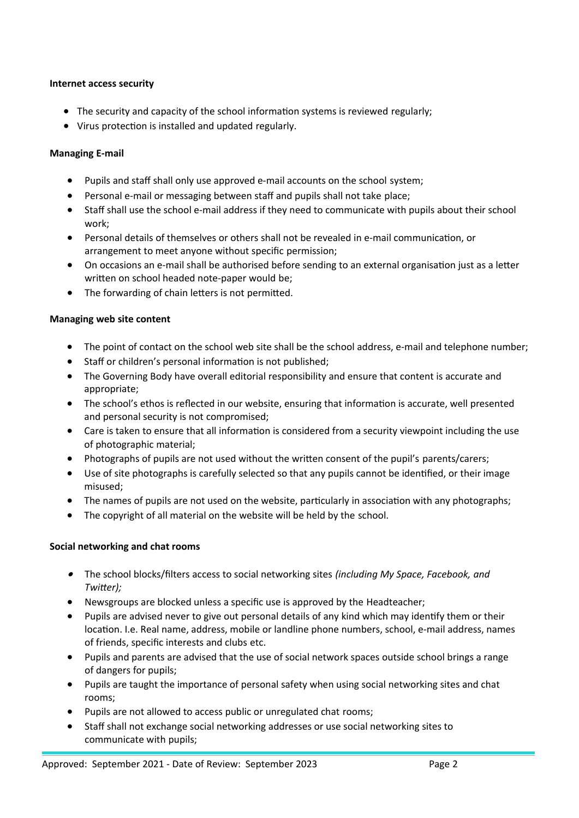## **Internet access security**

- The security and capacity of the school information systems is reviewed regularly;
- Virus protection is installed and updated regularly.

## **Managing E-mail**

- Pupils and staff shall only use approved e-mail accounts on the school system;
- Personal e-mail or messaging between staff and pupils shall not take place;
- Staff shall use the school e-mail address if they need to communicate with pupils about their school work;
- Personal details of themselves or others shall not be revealed in e-mail communication, or arrangement to meet anyone without specific permission;
- On occasions an e-mail shall be authorised before sending to an external organisation just as a letter written on school headed note-paper would be;
- The forwarding of chain letters is not permitted.

### **Managing web site content**

- The point of contact on the school web site shall be the school address, e-mail and telephone number;
- Staff or children's personal information is not published;
- The Governing Body have overall editorial responsibility and ensure that content is accurate and appropriate;
- The school's ethos is reflected in our website, ensuring that information is accurate, well presented and personal security is not compromised;
- Care is taken to ensure that all information is considered from a security viewpoint including the use of photographic material;
- Photographs of pupils are not used without the written consent of the pupil's parents/carers;
- Use of site photographs is carefully selected so that any pupils cannot be identified, or their image misused;
- The names of pupils are not used on the website, particularly in association with any photographs;
- The copyright of all material on the website will be held by the school.

### **Social networking and chat rooms**

- The school blocks/filters access to social networking sites *(including My Space, Facebook, and Twitter);*
- Newsgroups are blocked unless a specific use is approved by the Headteacher;
- Pupils are advised never to give out personal details of any kind which may identify them or their location. I.e. Real name, address, mobile or landline phone numbers, school, e-mail address, names of friends, specific interests and clubs etc.
- Pupils and parents are advised that the use of social network spaces outside school brings a range of dangers for pupils;
- Pupils are taught the importance of personal safety when using social networking sites and chat rooms;
- Pupils are not allowed to access public or unregulated chat rooms;
- Staff shall not exchange social networking addresses or use social networking sites to communicate with pupils;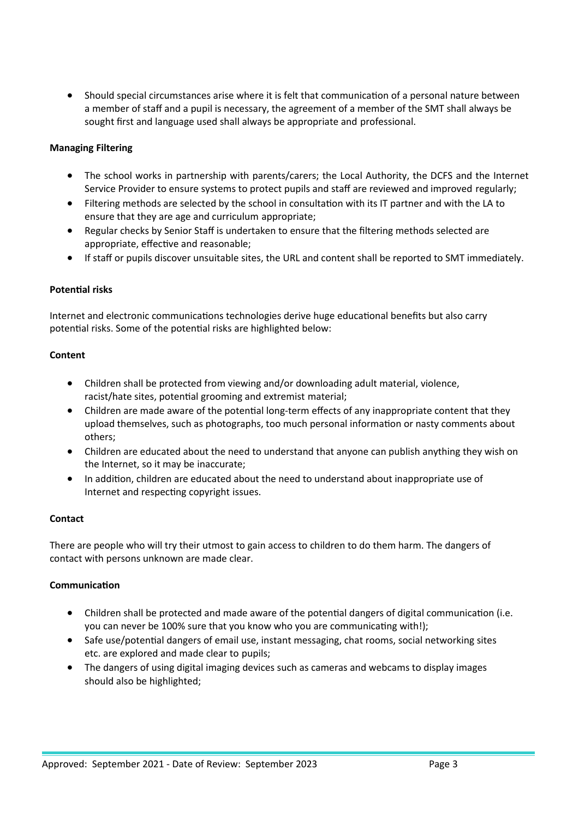Should special circumstances arise where it is felt that communication of a personal nature between a member of staff and a pupil is necessary, the agreement of a member of the SMT shall always be sought first and language used shall always be appropriate and professional.

## **Managing Filtering**

- The school works in partnership with parents/carers; the Local Authority, the DCFS and the Internet Service Provider to ensure systems to protect pupils and staff are reviewed and improved regularly;
- Filtering methods are selected by the school in consultation with its IT partner and with the LA to ensure that they are age and curriculum appropriate;
- Regular checks by Senior Staff is undertaken to ensure that the filtering methods selected are appropriate, effective and reasonable;
- If staff or pupils discover unsuitable sites, the URL and content shall be reported to SMT immediately.

## **Potential risks**

Internet and electronic communications technologies derive huge educational benefits but also carry potential risks. Some of the potential risks are highlighted below:

### **Content**

- Children shall be protected from viewing and/or downloading adult material, violence, racist/hate sites, potential grooming and extremist material;
- Children are made aware of the potential long-term effects of any inappropriate content that they upload themselves, such as photographs, too much personal information or nasty comments about others;
- Children are educated about the need to understand that anyone can publish anything they wish on the Internet, so it may be inaccurate;
- In addition, children are educated about the need to understand about inappropriate use of Internet and respecting copyright issues.

### **Contact**

There are people who will try their utmost to gain access to children to do them harm. The dangers of contact with persons unknown are made clear.

### **Communication**

- Children shall be protected and made aware of the potential dangers of digital communication (i.e. you can never be 100% sure that you know who you are communicating with!);
- Safe use/potential dangers of email use, instant messaging, chat rooms, social networking sites etc. are explored and made clear to pupils;
- The dangers of using digital imaging devices such as cameras and webcams to display images should also be highlighted;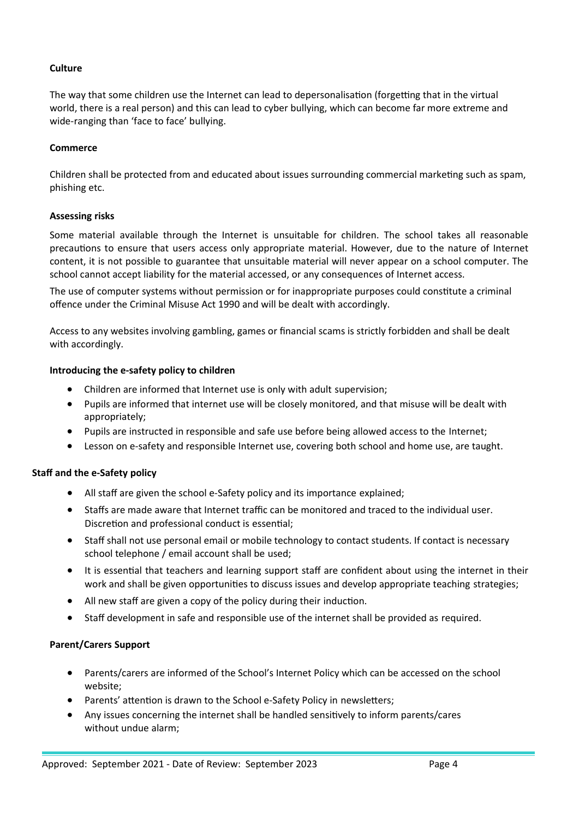## **Culture**

The way that some children use the Internet can lead to depersonalisation (forgetting that in the virtual world, there is a real person) and this can lead to cyber bullying, which can become far more extreme and wide-ranging than 'face to face' bullying.

### **Commerce**

Children shall be protected from and educated about issues surrounding commercial marketing such as spam, phishing etc.

#### **Assessing risks**

Some material available through the Internet is unsuitable for children. The school takes all reasonable precautions to ensure that users access only appropriate material. However, due to the nature of Internet content, it is not possible to guarantee that unsuitable material will never appear on a school computer. The school cannot accept liability for the material accessed, or any consequences of Internet access.

The use of computer systems without permission or for inappropriate purposes could constitute a criminal offence under the Criminal Misuse Act 1990 and will be dealt with accordingly.

Access to any websites involving gambling, games or financial scams is strictly forbidden and shall be dealt with accordingly.

#### **Introducing the e-safety policy to children**

- Children are informed that Internet use is only with adult supervision;
- Pupils are informed that internet use will be closely monitored, and that misuse will be dealt with appropriately;
- Pupils are instructed in responsible and safe use before being allowed access to the Internet;
- Lesson on e-safety and responsible Internet use, covering both school and home use, are taught.

### **Staff and the e-Safety policy**

- All staff are given the school e-Safety policy and its importance explained;
- Staffs are made aware that Internet traffic can be monitored and traced to the individual user. Discretion and professional conduct is essential;
- Staff shall not use personal email or mobile technology to contact students. If contact is necessary school telephone / email account shall be used;
- It is essential that teachers and learning support staff are confident about using the internet in their work and shall be given opportunities to discuss issues and develop appropriate teaching strategies;
- All new staff are given a copy of the policy during their induction.
- Staff development in safe and responsible use of the internet shall be provided as required.

### **Parent/Carers Support**

- Parents/carers are informed of the School's Internet Policy which can be accessed on the school website;
- Parents' attention is drawn to the School e-Safety Policy in newsletters;
- Any issues concerning the internet shall be handled sensitively to inform parents/cares without undue alarm;